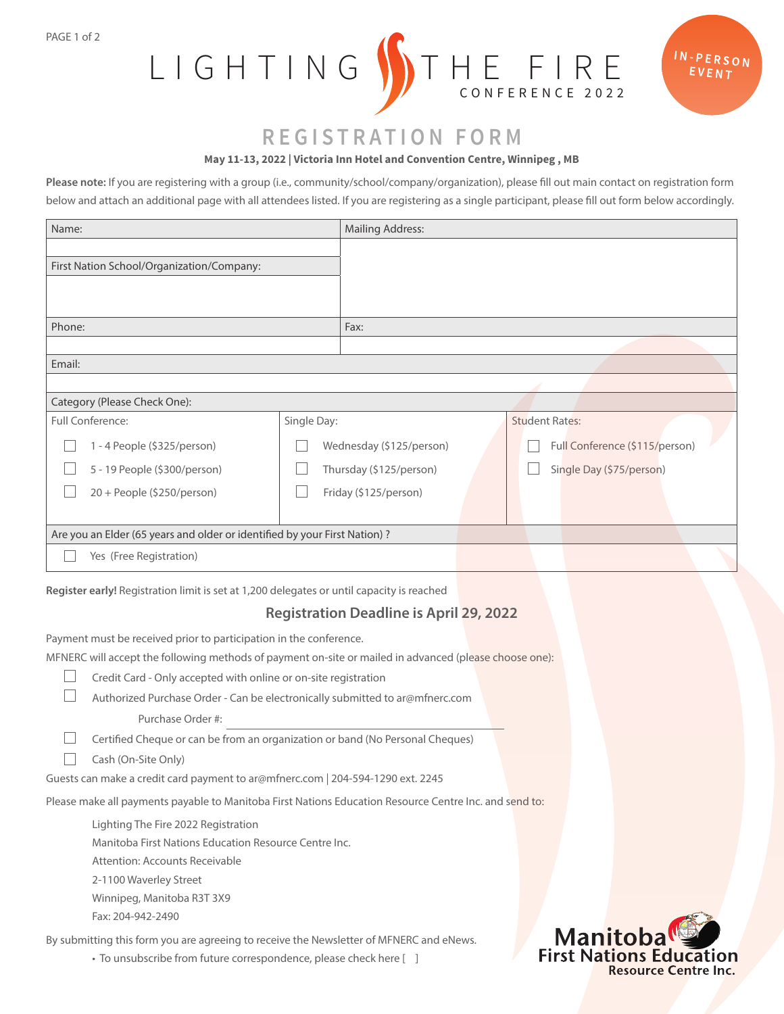PAGE 1 of 2



# $IN-PERSON$ EVENT

# **REGISTRATION FORM**

### **May 11-13, 2022 | Victoria Inn Hotel and Convention Centre, Winnipeg , MB**

**Please note:** If you are registering with a group (i.e., community/school/company/organization), please fill out main contact on registration form below and attach an additional page with all attendees listed. If you are registering as a single participant, please fill out form below accordingly.

| Name:                                                                                                                                                                        |             | <b>Mailing Address:</b>  |  |                       |                                |  |
|------------------------------------------------------------------------------------------------------------------------------------------------------------------------------|-------------|--------------------------|--|-----------------------|--------------------------------|--|
|                                                                                                                                                                              |             |                          |  |                       |                                |  |
| First Nation School/Organization/Company:                                                                                                                                    |             |                          |  |                       |                                |  |
|                                                                                                                                                                              |             |                          |  |                       |                                |  |
|                                                                                                                                                                              |             |                          |  |                       |                                |  |
| Phone:                                                                                                                                                                       |             | Fax:                     |  |                       |                                |  |
|                                                                                                                                                                              |             |                          |  |                       |                                |  |
| Email:                                                                                                                                                                       |             |                          |  |                       |                                |  |
|                                                                                                                                                                              |             |                          |  |                       |                                |  |
| Category (Please Check One):                                                                                                                                                 |             |                          |  |                       |                                |  |
| <b>Full Conference:</b>                                                                                                                                                      | Single Day: |                          |  | <b>Student Rates:</b> |                                |  |
| 1 - 4 People (\$325/person)                                                                                                                                                  |             | Wednesday (\$125/person) |  |                       | Full Conference (\$115/person) |  |
| 5 - 19 People (\$300/person)                                                                                                                                                 |             | Thursday (\$125/person)  |  |                       | Single Day (\$75/person)       |  |
| 20 + People (\$250/person)                                                                                                                                                   |             | Friday (\$125/person)    |  |                       |                                |  |
|                                                                                                                                                                              |             |                          |  |                       |                                |  |
| Are you an Elder (65 years and older or identified by your First Nation) ?                                                                                                   |             |                          |  |                       |                                |  |
| Yes (Free Registration)                                                                                                                                                      |             |                          |  |                       |                                |  |
|                                                                                                                                                                              |             |                          |  |                       |                                |  |
| Register early! Registration limit is set at 1,200 delegates or until capacity is reached                                                                                    |             |                          |  |                       |                                |  |
| <b>Registration Deadline is April 29, 2022</b>                                                                                                                               |             |                          |  |                       |                                |  |
|                                                                                                                                                                              |             |                          |  |                       |                                |  |
| Payment must be received prior to participation in the conference.<br>MFNERC will accept the following methods of payment on-site or mailed in advanced (please choose one): |             |                          |  |                       |                                |  |
| Credit Card - Only accepted with online or on-site registration                                                                                                              |             |                          |  |                       |                                |  |
| Authorized Purchase Order - Can be electronically submitted to ar@mfnerc.com                                                                                                 |             |                          |  |                       |                                |  |
| Purchase Order #:                                                                                                                                                            |             |                          |  |                       |                                |  |
|                                                                                                                                                                              |             |                          |  |                       |                                |  |
| Certified Cheque or can be from an organization or band (No Personal Cheques)                                                                                                |             |                          |  |                       |                                |  |
| Cash (On-Site Only)<br>Guests can make a credit card payment to ar@mfnerc.com   204-594-1290 ext. 2245                                                                       |             |                          |  |                       |                                |  |
|                                                                                                                                                                              |             |                          |  |                       |                                |  |
| Please make all payments payable to Manitoba First Nations Education Resource Centre Inc. and send to:                                                                       |             |                          |  |                       |                                |  |
| Lighting The Fire 2022 Registration                                                                                                                                          |             |                          |  |                       |                                |  |

Manitoba First Nations Education Resource Centre Inc.

Attention: Accounts Receivable

2-1100 Waverley Street

Winnipeg, Manitoba R3T 3X9

Fax: 204-942-2490

By submitting this form you are agreeing to receive the Newsletter of MFNERC and eNews.

• To unsubscribe from future correspondence, please check here [ ]